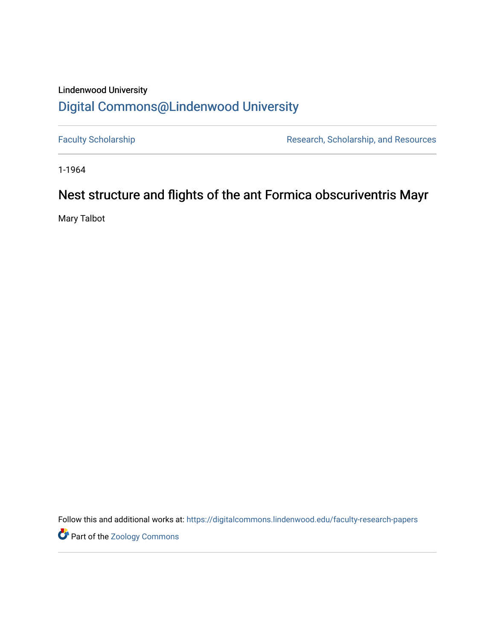### Lindenwood University

# [Digital Commons@Lindenwood University](https://digitalcommons.lindenwood.edu/)

[Faculty Scholarship](https://digitalcommons.lindenwood.edu/faculty-research-papers) **Research, Scholarship, and Resources** 

1-1964

# Nest structure and flights of the ant Formica obscuriventris Mayr

Mary Talbot

Follow this and additional works at: [https://digitalcommons.lindenwood.edu/faculty-research-papers](https://digitalcommons.lindenwood.edu/faculty-research-papers?utm_source=digitalcommons.lindenwood.edu%2Ffaculty-research-papers%2F315&utm_medium=PDF&utm_campaign=PDFCoverPages)

Part of the [Zoology Commons](http://network.bepress.com/hgg/discipline/81?utm_source=digitalcommons.lindenwood.edu%2Ffaculty-research-papers%2F315&utm_medium=PDF&utm_campaign=PDFCoverPages)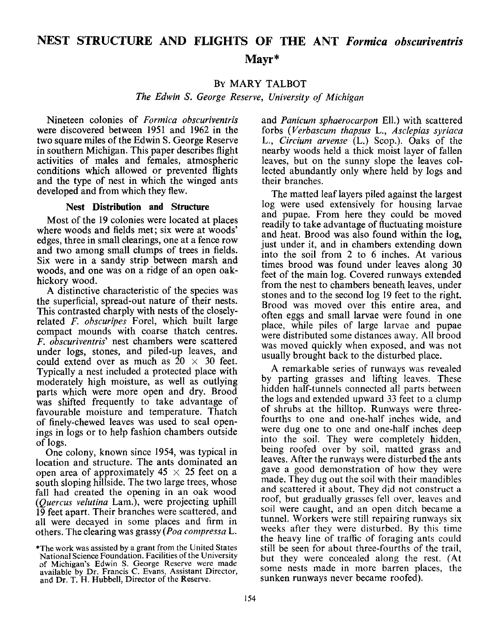### NEST STRUCTURE AND FLIGHTS OF THE ANT Formica obscuriventris Mayr

BY MARY TALBOT

The Edwin S. George Reserve, University of Michigan

Nineteen colonies of Formica obscuriventris were discovered between 1951 and 1962 in the two square miles of the Edwin S. George Reserve in southern Michigan. This paper describes flight activities of males and females, atmospheric conditions which allowed or prevented flights and the type of nest in which the winged ants developed and from which they flew.

#### Nest Distribution and Structure

Most of the 19 colonies were located at places where woods and fields met; six were at woods' edges, three in small clearings, one at a fence row and two among small clumps of trees in fields. Six were in a sandy strip between marsh and woods, and one was on a ridge of an open oakhickory wood.

A distinctive characteristic of the species was the superficial, spread-out nature of their nests . This contrasted charply with nests of the closelyrelated F. obscuripes Forel, which built large compact mounds with coarse thatch centres. F. obscuriventris' nest chambers were scattered under logs, stones, and piled-up leaves, and could extend over as much as  $20 \times 30$  feet. Typically a nest included a protected place with moderately high moisture, as well as outlying parts which were more open and dry. Brood was shifted frequently to take advantage of favourable moisture and temperature. Thatch of finely-chewed leaves was used to seal openings in logs or to help fashion chambers outside of logs.

One colony, known since 1954, was typical in location and structure. The ants dominated an open area of approximately  $45 \times 25$  feet on a south sloping hillside. The two large trees, whose fall had created the opening in an oak wood (Quercus velutina Lam.), were projecting uphill 19 feet apart. Their branches were scattered, and all were decayed in some places and firm in others. The clearing was grassy (*Poa compressa* L.

and Panicum sphaerocarpon Ell.) with scattered forbs (Verbascum thapsus L., Asclepias syriaca L., Circium arvense (L.) Scop.). Oaks of the nearby woods held a thick moist layer of fallen leaves, but on the sunny slope the leaves collected abundantly only where held by logs and their branches .

The matted leaf layers piled against the largest log were used extensively for housing larvae and pupae. From here they could be moved readily to take advantage of fluctuating moisture and heat. Brood was also found within the log, just under it, and in chambers extending down into the soil from 2 to 6 inches. At various times brood was found under leaves along 30 feet of the main log. Covered runways extended from the nest to chambers beneath leaves, under stones and to the second log 19 feet to the right. Brood was moved over this entire area, and often eggs and small larvae were found in one place, while piles of large larvae and pupae were distributed some distances away. All brood was moved quickly when exposed, and was not usually brought back to the disturbed place.

A remarkable series of runways was revealed by parting grasses and lifting leaves. These hidden half-tunnels connected all parts between the logs and extended upward 33 feet to a clump of shrubs at the hilltop. Runways were threefourths to one and one-half inches wide, and were dug one to one and one-half inches deep into the soil. They were completely hidden, being roofed over by soil, matted grass and leaves. After the runways were disturbed the ants gave a good demonstration of how they were made. They dug out the soil with their mandibles and scattered it about. They did not construct a roof, but gradually grasses fell over, leaves and soil were caught, and an open ditch became a tunnel. Workers were still repairing runways six weeks after they were disturbed. By this time the heavy line of traffic of foraging ants could still be seen for about three-fourths of the trail, but they were concealed along the rest. (At some nests made in more barren places, the sunken runways never became roofed).

<sup>\*</sup>The work was assisted by a grant from the United States National Science Foundation. Facilities of the University of Michigan's Edwin S . George Reserve were made available by Dr . Francis C. Evans, Assistant Director, and Dr. T. H. Hubbell, Director of the Reserve.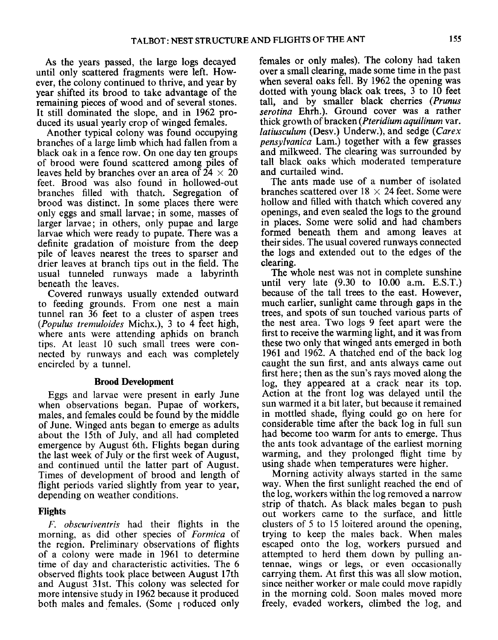As the years pas As the years passed, the large logs decayed until only scattered fragments were left. However, the colony continued to thrive, and year by year shifted its brood to take advantage of the remaining pieces of wood and of several stones. It still dominated the slope, and in 1962 produced its usual yearly crop of winged females.

Another typical colony was found occupying branches of a large limb which had fallen from a black oak in a fence row. On one day ten groups of brood were found scattered among piles of leaves held by branches over an area of 24  $\times$  20 feet. Brood was also found in hollowed-out branches filled with thatch. Segregation of brood was distinct. In some places there were only eggs and small larvae ; in some, masses of larger larvae; in others, only pupae and large larvae which were ready to pupate. There was a definite gradation of moisture from the deep pile of leaves nearest the trees to sparser and drier leaves at branch tips out in the field. The usual tunneled runways made a labyrinth beneath the leaves.

Covered runways usually extended outward to feeding grounds. From one nest a main tunnel ran 36 feet to a cluster of aspen trees (Populus tremuloides Michx.), 3 to 4 feet high, where ants were attending aphids on branch tips. At least 10 such small trees were connected by runways and each was completely encircled by a tunnel.

#### Brood Development

Eggs and larvae were present in early June when observations began. Pupae of workers, males, and females could be found by the middle of June. Winged ants began to emerge as adults about the 15th of July, and all had completed emergence by August 6th. Flights began during the last week of July or the first week of August, and continued until the latter part of August. Times of development of brood and length of flight periods varied slightly from year to year, depending on weather conditions.

#### Flights

F. obscuriventris had their flights in the morning, as did other species of *Formica* of the region. Preliminary observations of flights of a colony were made in 1961 to determine time of day and characteristic activities. The 6 observed flights took place between August 17th and August 31st. This colony was selected for more intensive study in 1962 because it produced both males and females. (Some  $\parallel$  roduced only females or only males). The colony had taken over a small clearing, made some time in the past when several oaks fell. By 1962 the opening was dotted with young black oak trees, 3 to 10 feet tall, and by smaller black cherries (Prunus serotina Ehrh.). Ground cover was a rather thick growth of bracken (Pteridium aquilinum var. *latiusculum* (Desv.) Underw.), and sedge (*Carex*) pensylvanica Lam.) together with a few grasses and milkweed. The clearing was surrounded by tall black oaks which moderated temperature and curtailed wind.

The ants made use of a number of isolated branches scattered over  $18 \times 24$  feet. Some were hollow and filled with thatch which covered any openings, and even sealed the logs to the ground in places. Some were solid and had chambers formed beneath them and among leaves at their sides . The usual covered runways connected the logs and extended out to the edges of the clearing.

The whole nest was not in complete sunshine until very late  $(9.30 \text{ to } 10.00 \text{ a.m. } E.S.T.)$ because of the tall trees to the east. However, much earlier, sunlight came through gaps in the trees, and spots of sun touched various parts of the nest area. Two logs 9 feet apart were the first to receive the warming light, and it was from these two only that winged ants emerged in both 1961 and 1962. A thatched end of the back log caught the sun first, and ants always came out first here ; then as the sun's rays moved along the log, they appeared at a crack near its top. Action at the front log was delayed until the sun warmed it a bit later, but because it remained in mottled shade, flying could go on here for considerable time after the back log in full sun had become too warm for ants to emerge. Thus the ants took advantage of the earliest morning warming, and they prolonged flight time by using shade when temperatures were higher.

Morning activity always started in the same way. When the first sunlight reached the end of the log, workers within the log removed a narrow strip of thatch. As black males began to push out workers came to the surface, and little clusters of 5 to 15 loitered around the opening, trying to keep the males back . When males escaped onto the log, workers pursued and attempted to herd them down by pulling antennae, wings or legs, or even occasionally carrying them. At first this was all slow motion, since neither worker or male could move rapidly in the morning cold. Soon males moved more freely, evaded workers, climbed the log, and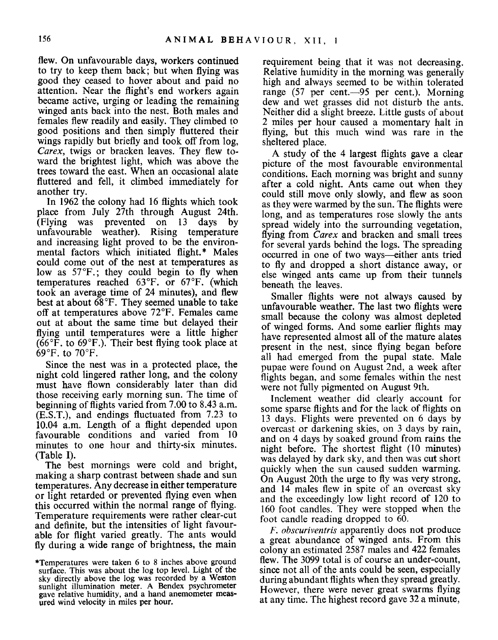flew. On unfavourable days, workers continued to try to keep them back ; but when flying was good they ceased to hover about and paid no attention. Near the flight's end workers again became active, urging or leading the remaining winged ants back into the nest. Both males and females flew readily and easily. They climbed to good positions and then simply fluttered their wings rapidly but briefly and took off from log, Carex, twigs or bracken leaves. They flew toward the brightest light, which was above the trees toward the east. When an occasional alate fluttered and fell, it climbed immediately for another try.

In 1962 the colony had 16 flights which took place from July 27th through August 24th. (Flying was prevented on 13 days by unfavourable weather). Rising temperature and increasing light proved to be the environmental factors which initiated flight.\* Males could come out of the nest at temperatures as low as  $57^{\circ}$ F.; they could begin to fly when temperatures reached 63°F . or 67°F. (which took an average time of 24 minutes), and flew best at about 68<sup>°</sup>F. They seemed unable to take off at temperatures above 72°F . Females came out at about the same time but delayed their flying until temperatures were a little higher (66 $\degree$ F. to 69 $\degree$ F.). Their best flying took place at  $69^{\circ}$ F, to  $70^{\circ}$ F.

Since the nest was in a protected place, the night cold lingered rather long, and the colony must have flown considerably later than did those receiving early morning sun. The time of beginning of flights varied from 7.00 to 8.43 a.m.  $(E.S.T.)$ , and endings fluctuated from 7.23 to 10.04 a.m. Length of a flight depended upon favourable conditions and varied from 10 minutes to one hour and thirty-six minutes.  $(Table I).$ 

The best mornings were cold and bright, making a sharp contrast between shade and sun temperatures . Any decrease in either temperature or light retarded or prevented flying even when this occurred within the normal range of flying. Temperature requirements were rather clear-cut and definite, but the intensities of light favourable for flight varied greatly. The ants would fly during a wide range of brightness, the main

\*Temperatures were taken 6 to 8 inches above ground surface. This was about the log top level. Light of the sky directly above the log was recorded by a Weston sunlight illumination meter. A Bendex psychrometer gave relative humidity, and a hand anemometer measured wind velocity in miles per hour,

requirement being that it was not decreasing. Relative humidity in the morning was generally high and always seemed to be within tolerated range  $(57 \text{ per cent.} \text{--} 95 \text{ per cent.})$ . Morning dew and wet grasses did not disturb the ants. Neither did a slight breeze. Little gusts of about 2 miles per hour caused a momentary halt in flying, but this much wind was rare in the sheltered place.

A study of the 4 largest flights gave a clear picture of the most favourable environmental conditions. Each morning was bright and sunny after a cold night. Ants came out when they could still move only slowly, and flew as soon as they were warmed by the sun. The flights were long, and as temperatures rose slowly the ants spread widely into the surrounding vegetation, flying from Carex and bracken and small trees for several yards behind the logs. The spreading occurred in one of two ways-either ants tried to fly and dropped a short distance away, or else winged ants came up from their tunnels beneath the leaves.

Smaller flights were not always caused by unfavourable weather. The last two flights were small because the colony was almost depleted of winged forms. And some earlier flights may have represented almost all of the mature alates present in the nest, since flying began before all had emerged from the pupal state. Male pupae were found on August 2nd, a week after flights began, and some females within the nest were not fully pigmented on August 9th.

Inclement weather did clearly account for some sparse flights and for the lack of flights on 13 days . Flights were prevented on 6 days by overcast or darkening skies, on 3 days by rain, and on 4 days by soaked ground from rains the night before. The shortest flight (10 minutes) was delayed by dark sky, and then was cut short quickly when the sun caused sudden warming. On August 20th the urge to fly was very strong, and 14 males flew in spite of an overcast sky and the exceedingly low light record of 120 to 160 foot candles. They were stopped when the foot candle reading dropped to 60.

F. obscuriventris apparently does not produce a great abundance of winged ants. From this colony an estimated 2587 males and 422 females flew. The 3099 total is of course an under-count, since not all of the ants could be seen, especially during abundant flights when they spread greatly. However, there were never great swarms flying at any time . The highest record gave 32 a minute,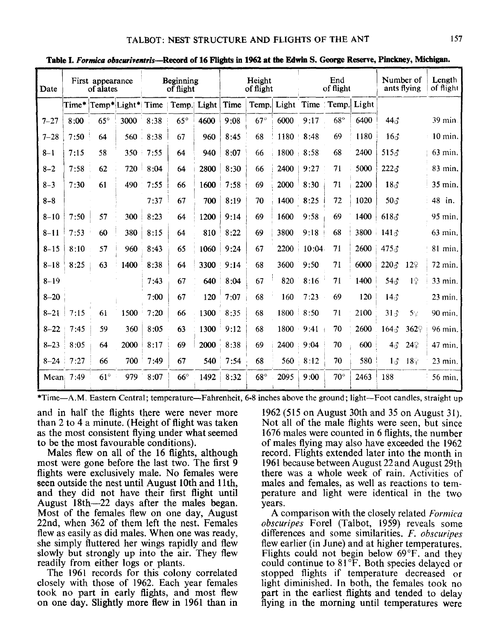| Date     | First appearance<br>of alates |              |                   | Beginning<br>of flight |              |      | Height<br>of flight |            |       | End<br>of flight |              |       | Number of<br>ants flying |                | Length<br>of flight |
|----------|-------------------------------|--------------|-------------------|------------------------|--------------|------|---------------------|------------|-------|------------------|--------------|-------|--------------------------|----------------|---------------------|
|          | Time*                         |              | Temp* Light* Time |                        | Temp. Light  |      | Time                | Temp.      | Light |                  | Time Temp.   | Light |                          |                |                     |
| $7 - 27$ | 8:00                          | $65^\circ$   | 3000              | 8:38                   | $65^{\circ}$ | 4600 | 9:08                | $67^\circ$ | 6000  | 9:17             | $68^{\circ}$ | 6400  | 443                      |                | 39 min              |
| $7 - 28$ | 7:50                          | 64           | 560               | 8:38                   | 67           | 960  | 8:45                | 68         | 1180  | 8:48             | 69           | 1180  | 163                      |                | $10$ min.           |
| $8 - 1$  | 7:15                          | 58           |                   | $350 - 7:55$           | 64           | 940  | 8:07                | 66         | 1800  | 8:58             | 68           | 2400  | 5153                     |                | 63 min.             |
| $8 - 2$  | 7:58                          | 62           | 720               | 8:04                   | 64           | 2800 | 8:30                | 66         | 2400  | 9:27             | 71           | 5000  | 222 <sub>0</sub>         |                | 83 min.             |
| $8 - 3$  | 7:30                          | 61           | 490               | 7:55                   | 66           | 1600 | 7:58                | 69         | 2000  | 8:30             | 71           | 2200  | 18 <sub>0</sub>          |                | 35 min.             |
| $8 - 8$  |                               |              |                   | 7:37                   | 67           | 700  | 8:19                | 70         | 1400  | 8:25             | 72           | 1020  | 504                      |                | 48 in.              |
| $8 - 10$ | 7:50                          | 57           | 300               | 8:23                   | 64           | 1200 | 9:14                | 69         | 1600  | 9:58             | 69           | 1400  | 618 <sub>0</sub>         |                | 95 min.             |
| $8 - 11$ | 7:53                          | 60           | 380               | 8:15                   | 64           | 810  | 8:22                | 69         | 3800  | 9:18             | 68           | 3800  | $141\beta$               |                | 63 min,             |
| $8 - 15$ | 8:10                          | 57           | 960               | 8:43                   | 65           | 1060 | 9:24                | 67         | 2200  | 10:04            | 71           | 2600  | 4753                     |                | 81 min.             |
| $8 - 18$ | 8:25                          | 63           | 1400              | 8:38                   | 64           | 3300 | 9:14                | 68         | 3600  | 9:50             | 71           | 6000  | 2203                     | 129            | 72 min.             |
| $8 - 19$ |                               |              |                   | 7:43                   | 67           | 640  | 8:04                | 67         | 820   | 8:16             | 71           | 1400  | 543                      | 12             | 33 min.             |
| $8 - 20$ |                               |              |                   | 7:00                   | 67           | 120  | 7:07                | 68         | 160   | 7:23             | 69           | 120   | 143                      |                | 23 min.             |
| $8 - 21$ | 7:15                          | 61           | 1500              | 7:20                   | 66           | 1300 | 8:35                | 68         | 1800  | 8:50             | 71           | 2100  | 313                      | $5\frac{1}{2}$ | 90 min.             |
| $8 - 22$ | 7:45                          | 59           | 360               | 8:05                   | 63           | 1300 | 9:12                | 68         | 1800  | 9:41             | 70           | 2600  | 164 <sub>3</sub>         | 362            | 96 min.             |
| $8 - 23$ | 8:05                          | 64           | 2000              | 8:17                   | 69           | 2000 | 8:38                | 69         | 2400  | 9:04             | 70           | 600   | 43                       | 242            | 47 min.             |
| $8 - 24$ | 7:27                          | 66           | 700               | 7:49                   | 67           | 540  | 7:54                | 68         | 560   | 8:12             | 70           | 580   | 13                       | $18 +$         | $23 \text{ min}$ .  |
|          | Mean 7:49                     | $61^{\circ}$ | 979               | 8:07                   | $66^{\circ}$ | 1492 | 8:32                | $68^\circ$ | 2095  | 9:00             | $70^\circ$   | 2463  | 188                      |                | 56 min.             |

Toble L. Formic Table I. Formica obscuriventris-Record of 16 Flights in 1962 at the Edwin S. George Reserve, Pinckney, Michigan.

\*Time-A .M. Eastern Central ; temperature-Fahrenheit, 6-8 inches above the ground ; light-Foot candles, straight up

and in half the flights there were never more than 2 to 4 a minute . (Height of flight was taken as the most consistent flying under what seemed to be the most favourable conditions) .

Males flew on all of the 16 flights, although most were gone before the last two. The first 9 flights were exclusively male. No females were seen outside the nest until August 10th and 11th, and they did not have their first flight until August 18th-22 days after the males began. Most of the females flew on one day, August 22nd, when 362 of them left the nest, Females flew as easily as did males. When one was ready, she simply fluttered her wings rapidly and flew slowly but strongly up into the air. They flew readily from either logs or plants.

The 1961 records for this colony correlated closely with those of 1962 . Each year females took no part in early flights, and most flew on one day. Slightly more flew in 1961 than in 1962 (515 on August 30th and 35 on August 31) . Not all of the male flights were seen, but since 1676 males were counted in 6 flights, the number of males flying may also have exceeded the 1962 record. Flights extended later into the month in 1961 because between August 22 and August 29th there was a whole week of rain . Activities of males and females, as well as reactions to temperature and light were identical in the two vears.

A comparison with the closely related Formica obscuripes Forel (Talbot, 1959) reveals some differences and some similarities. F. obscuripes flew earlier (in June) and at higher temperatures. Flights could not begin below 69°F . and they could continue to 81°F. Both species delayed or stopped flights if temperature decreased or light diminished. In both, the females took no part in the earliest flights and tended to delay flying in the morning until temperatures were